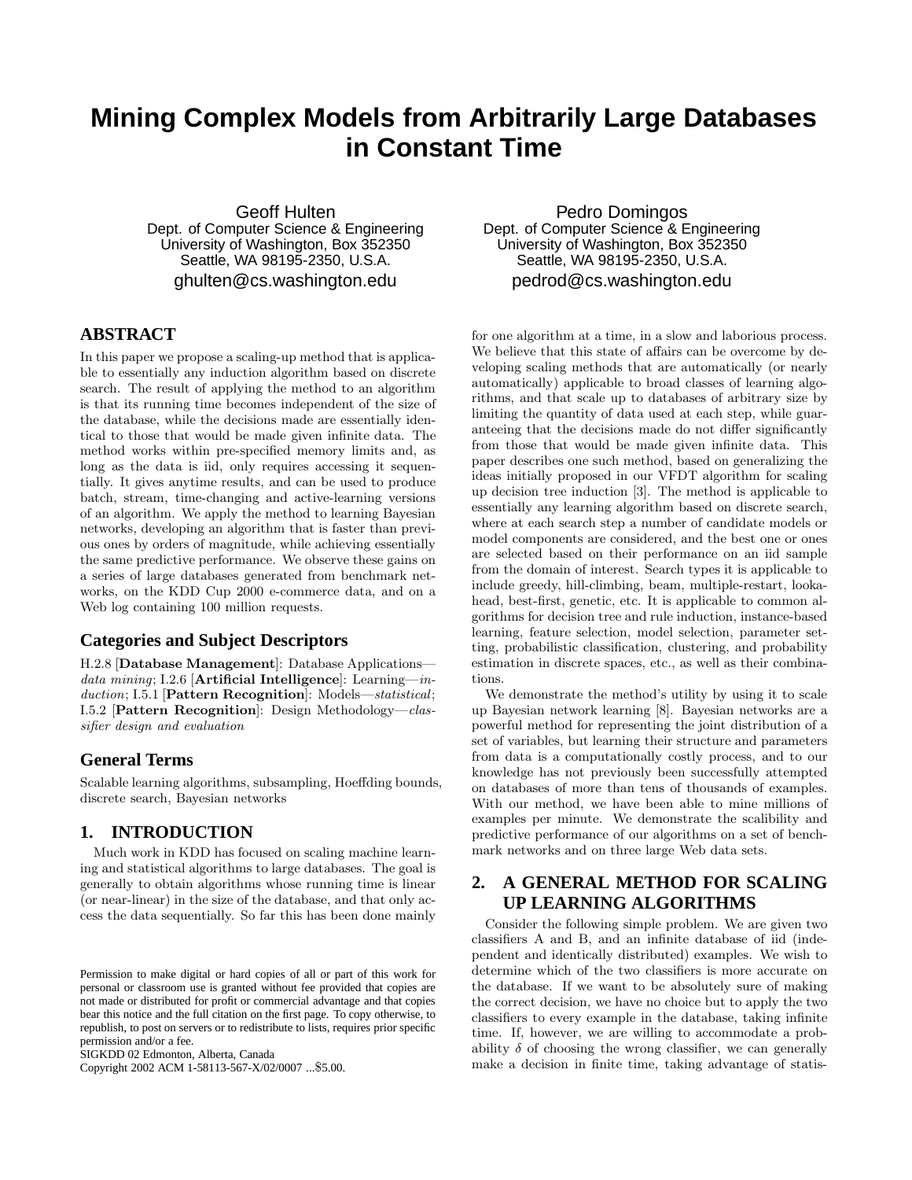# **Mining Complex Models from Arbitrarily Large Databases in Constant Time**

Geoff Hulten Dept. of Computer Science & Engineering University of Washington, Box 352350 Seattle, WA 98195-2350, U.S.A. ghulten@cs.washington.edu

# **ABSTRACT**

In this paper we propose a scaling-up method that is applicable to essentially any induction algorithm based on discrete search. The result of applying the method to an algorithm is that its running time becomes independent of the size of the database, while the decisions made are essentially identical to those that would be made given infinite data. The method works within pre-specified memory limits and, as long as the data is iid, only requires accessing it sequentially. It gives anytime results, and can be used to produce batch, stream, time-changing and active-learning versions of an algorithm. We apply the method to learning Bayesian networks, developing an algorithm that is faster than previous ones by orders of magnitude, while achieving essentially the same predictive performance. We observe these gains on a series of large databases generated from benchmark networks, on the KDD Cup 2000 e-commerce data, and on a Web log containing 100 million requests.

# **Categories and Subject Descriptors**

H.2.8 [Database Management]: Database Applications data mining; I.2.6 [Artificial Intelligence]: Learning—induction; I.5.1 [Pattern Recognition]: Models—statistical; I.5.2 [Pattern Recognition]: Design Methodology—classifier design and evaluation

# **General Terms**

Scalable learning algorithms, subsampling, Hoeffding bounds, discrete search, Bayesian networks

# **1. INTRODUCTION**

Much work in KDD has focused on scaling machine learning and statistical algorithms to large databases. The goal is generally to obtain algorithms whose running time is linear (or near-linear) in the size of the database, and that only access the data sequentially. So far this has been done mainly

Copyright 2002 ACM 1-58113-567-X/02/0007 ...\$5.00.

Pedro Domingos Dept. of Computer Science & Engineering University of Washington, Box 352350 Seattle, WA 98195-2350, U.S.A. pedrod@cs.washington.edu

for one algorithm at a time, in a slow and laborious process. We believe that this state of affairs can be overcome by developing scaling methods that are automatically (or nearly automatically) applicable to broad classes of learning algorithms, and that scale up to databases of arbitrary size by limiting the quantity of data used at each step, while guaranteeing that the decisions made do not differ significantly from those that would be made given infinite data. This paper describes one such method, based on generalizing the ideas initially proposed in our VFDT algorithm for scaling up decision tree induction [3]. The method is applicable to essentially any learning algorithm based on discrete search, where at each search step a number of candidate models or model components are considered, and the best one or ones are selected based on their performance on an iid sample from the domain of interest. Search types it is applicable to include greedy, hill-climbing, beam, multiple-restart, lookahead, best-first, genetic, etc. It is applicable to common algorithms for decision tree and rule induction, instance-based learning, feature selection, model selection, parameter setting, probabilistic classification, clustering, and probability estimation in discrete spaces, etc., as well as their combinations.

We demonstrate the method's utility by using it to scale up Bayesian network learning [8]. Bayesian networks are a powerful method for representing the joint distribution of a set of variables, but learning their structure and parameters from data is a computationally costly process, and to our knowledge has not previously been successfully attempted on databases of more than tens of thousands of examples. With our method, we have been able to mine millions of examples per minute. We demonstrate the scalibility and predictive performance of our algorithms on a set of benchmark networks and on three large Web data sets.

# **2. A GENERAL METHOD FOR SCALING UP LEARNING ALGORITHMS**

Consider the following simple problem. We are given two classifiers A and B, and an infinite database of iid (independent and identically distributed) examples. We wish to determine which of the two classifiers is more accurate on the database. If we want to be absolutely sure of making the correct decision, we have no choice but to apply the two classifiers to every example in the database, taking infinite time. If, however, we are willing to accommodate a probability  $\delta$  of choosing the wrong classifier, we can generally make a decision in finite time, taking advantage of statis-

Permission to make digital or hard copies of all or part of this work for personal or classroom use is granted without fee provided that copies are not made or distributed for profit or commercial advantage and that copies bear this notice and the full citation on the first page. To copy otherwise, to republish, to post on servers or to redistribute to lists, requires prior specific permission and/or a fee.

SIGKDD 02 Edmonton, Alberta, Canada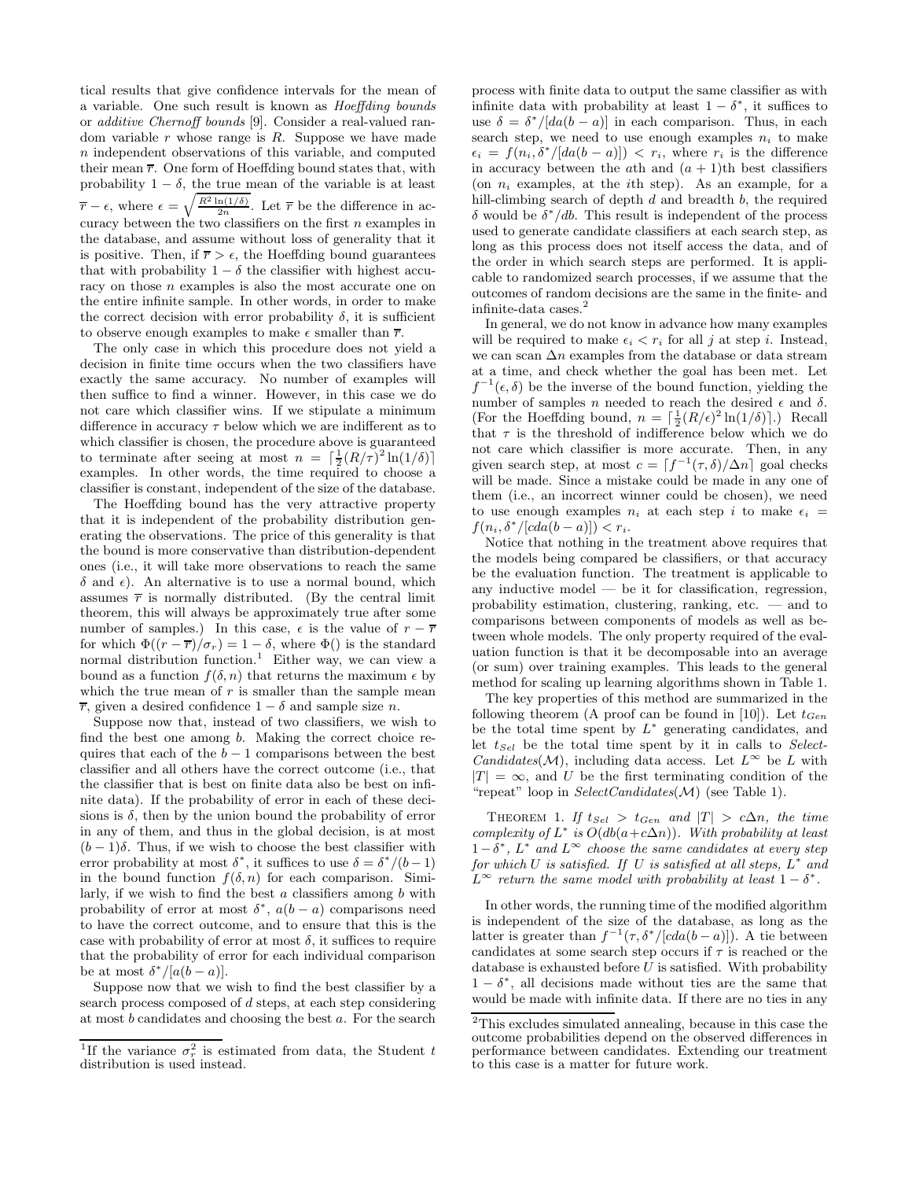tical results that give confidence intervals for the mean of a variable. One such result is known as Hoeffding bounds or additive Chernoff bounds [9]. Consider a real-valued random variable  $r$  whose range is  $R$ . Suppose we have made n independent observations of this variable, and computed their mean  $\overline{r}$ . One form of Hoeffding bound states that, with probability  $1 - \delta$ , the true mean of the variable is at least  $\overline{r} - \epsilon$ , where  $\epsilon = \sqrt{\frac{R^2 \ln(1/\delta)}{2n}}$ . Let  $\overline{r}$  be the difference in accuracy between the two classifiers on the first  $n$  examples in the database, and assume without loss of generality that it is positive. Then, if  $\overline{r} > \epsilon$ , the Hoeffding bound guarantees that with probability  $1 - \delta$  the classifier with highest accuracy on those  $n$  examples is also the most accurate one on the entire infinite sample. In other words, in order to make the correct decision with error probability  $\delta$ , it is sufficient to observe enough examples to make  $\epsilon$  smaller than  $\bar{r}$ .

The only case in which this procedure does not yield a decision in finite time occurs when the two classifiers have exactly the same accuracy. No number of examples will then suffice to find a winner. However, in this case we do not care which classifier wins. If we stipulate a minimum difference in accuracy  $\tau$  below which we are indifferent as to which classifier is chosen, the procedure above is guaranteed to terminate after seeing at most  $n = \left[\frac{1}{2}(R/\tau)^2 \ln(1/\delta)\right]$ examples. In other words, the time required to choose a classifier is constant, independent of the size of the database.

The Hoeffding bound has the very attractive property that it is independent of the probability distribution generating the observations. The price of this generality is that the bound is more conservative than distribution-dependent ones (i.e., it will take more observations to reach the same δ and  $\epsilon$ ). An alternative is to use a normal bound, which assumes  $\overline{r}$  is normally distributed. (By the central limit theorem, this will always be approximately true after some number of samples.) In this case,  $\epsilon$  is the value of  $r - \overline{r}$ for which  $\Phi((r - \overline{r})/\sigma_r) = 1 - \delta$ , where  $\Phi()$  is the standard normal distribution function.<sup>1</sup> Either way, we can view a bound as a function  $f(\delta, n)$  that returns the maximum  $\epsilon$  by which the true mean of  $r$  is smaller than the sample mean  $\overline{r}$ , given a desired confidence  $1 - \delta$  and sample size *n*.

Suppose now that, instead of two classifiers, we wish to find the best one among b. Making the correct choice requires that each of the  $b - 1$  comparisons between the best classifier and all others have the correct outcome (i.e., that the classifier that is best on finite data also be best on infinite data). If the probability of error in each of these decisions is  $\delta$ , then by the union bound the probability of error in any of them, and thus in the global decision, is at most  $(b-1)\delta$ . Thus, if we wish to choose the best classifier with error probability at most  $\delta^*$ , it suffices to use  $\delta = \delta^* / (b-1)$ in the bound function  $f(\delta, n)$  for each comparison. Similarly, if we wish to find the best  $a$  classifiers among  $b$  with probability of error at most  $\delta^*$ ,  $a(b-a)$  comparisons need to have the correct outcome, and to ensure that this is the case with probability of error at most  $\delta$ , it suffices to require that the probability of error for each individual comparison be at most  $\delta^*/[a(b-a)].$ 

Suppose now that we wish to find the best classifier by a search process composed of d steps, at each step considering at most b candidates and choosing the best a. For the search

process with finite data to output the same classifier as with infinite data with probability at least  $1 - \delta^*$ , it suffices to use  $\delta = \delta^* / [da(b - a)]$  in each comparison. Thus, in each search step, we need to use enough examples  $n_i$  to make  $\epsilon_i = f(n_i, \delta^*/[da(b-a)]) < r_i$ , where  $r_i$  is the difference in accuracy between the ath and  $(a + 1)$ th best classifiers (on  $n_i$  examples, at the *i*th step). As an example, for a hill-climbing search of depth  $d$  and breadth  $b$ , the required δ would be  $\delta^*/db$ . This result is independent of the process used to generate candidate classifiers at each search step, as long as this process does not itself access the data, and of the order in which search steps are performed. It is applicable to randomized search processes, if we assume that the outcomes of random decisions are the same in the finite- and infinite-data cases.<sup>2</sup>

In general, we do not know in advance how many examples will be required to make  $\epsilon_i < r_i$  for all j at step i. Instead, we can scan  $\Delta n$  examples from the database or data stream at a time, and check whether the goal has been met. Let  $f^{-1}(\epsilon, \delta)$  be the inverse of the bound function, yielding the number of samples n needed to reach the desired  $\epsilon$  and  $\delta$ . (For the Hoeffding bound,  $n = \lceil \frac{1}{2} (R/\epsilon)^2 \ln(1/\delta) \rceil$ .) Recall that  $\tau$  is the threshold of indifference below which we do not care which classifier is more accurate. Then, in any given search step, at most  $c = \left[ f^{-1}(\tau, \delta)/\Delta n \right]$  goal checks will be made. Since a mistake could be made in any one of them (i.e., an incorrect winner could be chosen), we need to use enough examples  $n_i$  at each step i to make  $\epsilon_i$  =  $f(n_i, \delta^*/[cda(b-a)]) < r_i.$ 

Notice that nothing in the treatment above requires that the models being compared be classifiers, or that accuracy be the evaluation function. The treatment is applicable to any inductive model — be it for classification, regression, probability estimation, clustering, ranking, etc.  $-$  and to comparisons between components of models as well as between whole models. The only property required of the evaluation function is that it be decomposable into an average (or sum) over training examples. This leads to the general method for scaling up learning algorithms shown in Table 1.

The key properties of this method are summarized in the following theorem (A proof can be found in [10]). Let  $t_{Gen}$ be the total time spent by  $L^*$  generating candidates, and let  $t_{Sel}$  be the total time spent by it in calls to Select-*Candidates*(*M*), including data access. Let  $L^{\infty}$  be L with  $|T| = \infty$ , and U be the first terminating condition of the "repeat" loop in  $SelectCandidates(\mathcal{M})$  (see Table 1).

THEOREM 1. If  $t_{Sel} > t_{Gen}$  and  $|T| > c\Delta n$ , the time complexity of  $L^*$  is  $O(db(a+c\Delta n))$ . With probability at least  $1-\delta^*$ ,  $L^*$  and  $L^{\infty}$  choose the same candidates at every step for which U is satisfied. If U is satisfied at all steps,  $L^*$  and  $L^{\infty}$  return the same model with probability at least  $1 - \delta^*$ .

In other words, the running time of the modified algorithm is independent of the size of the database, as long as the latter is greater than  $f^{-1}(\tau, \delta^*/[cda(b-a)])$ . A tie between candidates at some search step occurs if  $\tau$  is reached or the database is exhausted before  $U$  is satisfied. With probability  $1 - \delta^*$ , all decisions made without ties are the same that would be made with infinite data. If there are no ties in any

<sup>&</sup>lt;sup>1</sup>If the variance  $\sigma_r^2$  is estimated from data, the Student t distribution is used instead.

<sup>2</sup>This excludes simulated annealing, because in this case the outcome probabilities depend on the observed differences in performance between candidates. Extending our treatment to this case is a matter for future work.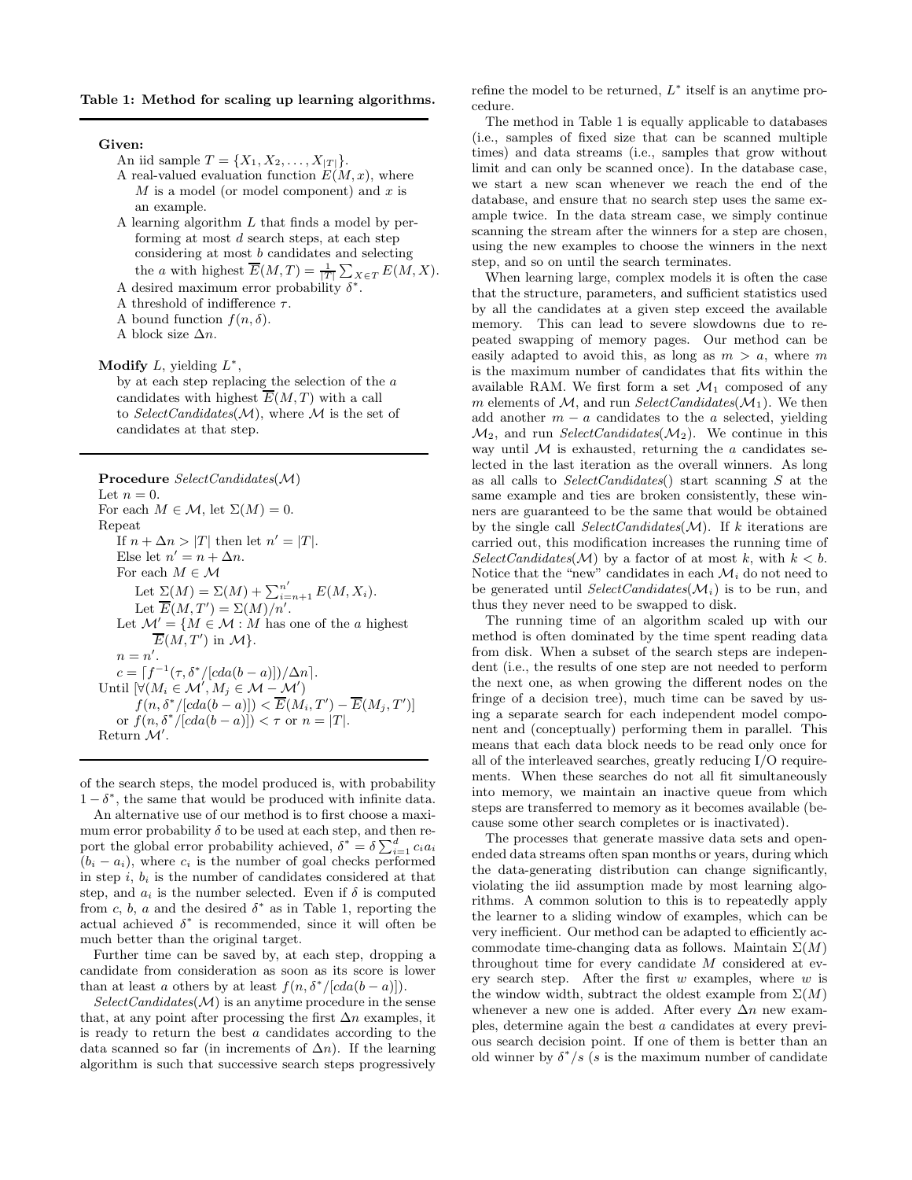#### Table 1: Method for scaling up learning algorithms.

#### Given:

- An iid sample  $T = \{X_1, X_2, \ldots, X_{|T|}\}.$
- A real-valued evaluation function  $E(M, x)$ , where  $M$  is a model (or model component) and x is an example.
- A learning algorithm L that finds a model by performing at most d search steps, at each step considering at most b candidates and selecting the *a* with highest  $\overline{E}(M,T) = \frac{1}{|T|} \sum_{X \in T} E(M,X)$ .
- A desired maximum error probability  $\delta^*$ .
- A threshold of indifference  $\tau$ .
- A bound function  $f(n, \delta)$ .
- A block size  $\Delta n$ .

Modify  $L$ , yielding  $L^*$ ,

by at each step replacing the selection of the a candidates with highest  $\overline{E}(M,T)$  with a call to SelectCandidates( $M$ ), where M is the set of candidates at that step.

Procedure SelectCandidates(M) Let  $n=0$ . For each  $M \in \mathcal{M}$ , let  $\Sigma(M) = 0$ . Repeat If  $n + \Delta n > |T|$  then let  $n' = |T|$ . Else let  $n' = n + \Delta n$ . For each  $M \in \mathcal{M}$ Let  $\Sigma(M) = \Sigma(M) + \sum_{i=n+1}^{n'} E(M, X_i)$ . Let  $\overline{E}(M,T') = \Sigma(M)/n'.$ Let  $\mathcal{M}' = \{M \in \mathcal{M} : M \text{ has one of the } a \text{ highest}\}$  $\overline{E}(M,T')$  in  $\mathcal{M}\}.$  $n = n'.$  $c = [f^{-1}(\tau, \delta^*/[cda(b-a)])/\Delta n].$ Until  $[\forall (M_i \in \mathcal{M}', M_j \in \mathcal{M} - \mathcal{M}')]$  $f(n, \delta^*/[cda(b-a)]) < \overline{E}(M_i, T') - \overline{E}(M_j, T')]$ or  $f(n, \delta^*/[cda(b-a)]) < \tau$  or  $n = |T|$ . Return  $\mathcal{M}'$ .

of the search steps, the model produced is, with probability  $1 - \delta^*$ , the same that would be produced with infinite data.

An alternative use of our method is to first choose a maximum error probability  $\delta$  to be used at each step, and then report the global error probability achieved,  $\delta^* = \delta \sum_{i=1}^d c_i a_i$  $(b_i - a_i)$ , where  $c_i$  is the number of goal checks performed in step  $i, b_i$  is the number of candidates considered at that step, and  $a_i$  is the number selected. Even if  $\delta$  is computed from c, b, a and the desired  $\delta^*$  as in Table 1, reporting the actual achieved  $\delta^*$  is recommended, since it will often be much better than the original target.

Further time can be saved by, at each step, dropping a candidate from consideration as soon as its score is lower than at least a others by at least  $f(n, \delta^*/[cda(b-a)]).$ 

 $SelectC and idates(\mathcal{M})$  is an anytime procedure in the sense that, at any point after processing the first  $\Delta n$  examples, it is ready to return the best a candidates according to the data scanned so far (in increments of  $\Delta n$ ). If the learning algorithm is such that successive search steps progressively

refine the model to be returned,  $L^*$  itself is an anytime procedure.

The method in Table 1 is equally applicable to databases (i.e., samples of fixed size that can be scanned multiple times) and data streams (i.e., samples that grow without limit and can only be scanned once). In the database case, we start a new scan whenever we reach the end of the database, and ensure that no search step uses the same example twice. In the data stream case, we simply continue scanning the stream after the winners for a step are chosen, using the new examples to choose the winners in the next step, and so on until the search terminates.

When learning large, complex models it is often the case that the structure, parameters, and sufficient statistics used by all the candidates at a given step exceed the available memory. This can lead to severe slowdowns due to repeated swapping of memory pages. Our method can be easily adapted to avoid this, as long as  $m > a$ , where m is the maximum number of candidates that fits within the available RAM. We first form a set  $\mathcal{M}_1$  composed of any m elements of  $M$ , and run SelectCandidates( $M_1$ ). We then add another  $m - a$  candidates to the a selected, yielding  $\mathcal{M}_2$ , and run *SelectCandidates*( $\mathcal{M}_2$ ). We continue in this way until  $M$  is exhausted, returning the  $a$  candidates selected in the last iteration as the overall winners. As long as all calls to SelectCandidates() start scanning S at the same example and ties are broken consistently, these winners are guaranteed to be the same that would be obtained by the single call  $SelectC and dates(\mathcal{M})$ . If k iterations are carried out, this modification increases the running time of  $SelectCandidates(\mathcal{M})$  by a factor of at most k, with  $k < b$ . Notice that the "new" candidates in each  $\mathcal{M}_i$  do not need to be generated until SelectCandidates( $\mathcal{M}_i$ ) is to be run, and thus they never need to be swapped to disk.

The running time of an algorithm scaled up with our method is often dominated by the time spent reading data from disk. When a subset of the search steps are independent (i.e., the results of one step are not needed to perform the next one, as when growing the different nodes on the fringe of a decision tree), much time can be saved by using a separate search for each independent model component and (conceptually) performing them in parallel. This means that each data block needs to be read only once for all of the interleaved searches, greatly reducing I/O requirements. When these searches do not all fit simultaneously into memory, we maintain an inactive queue from which steps are transferred to memory as it becomes available (because some other search completes or is inactivated).

The processes that generate massive data sets and openended data streams often span months or years, during which the data-generating distribution can change significantly, violating the iid assumption made by most learning algorithms. A common solution to this is to repeatedly apply the learner to a sliding window of examples, which can be very inefficient. Our method can be adapted to efficiently accommodate time-changing data as follows. Maintain  $\Sigma(M)$ throughout time for every candidate M considered at every search step. After the first  $w$  examples, where  $w$  is the window width, subtract the oldest example from  $\Sigma(M)$ whenever a new one is added. After every  $\Delta n$  new examples, determine again the best a candidates at every previous search decision point. If one of them is better than an old winner by  $\delta^* / s$  (s is the maximum number of candidate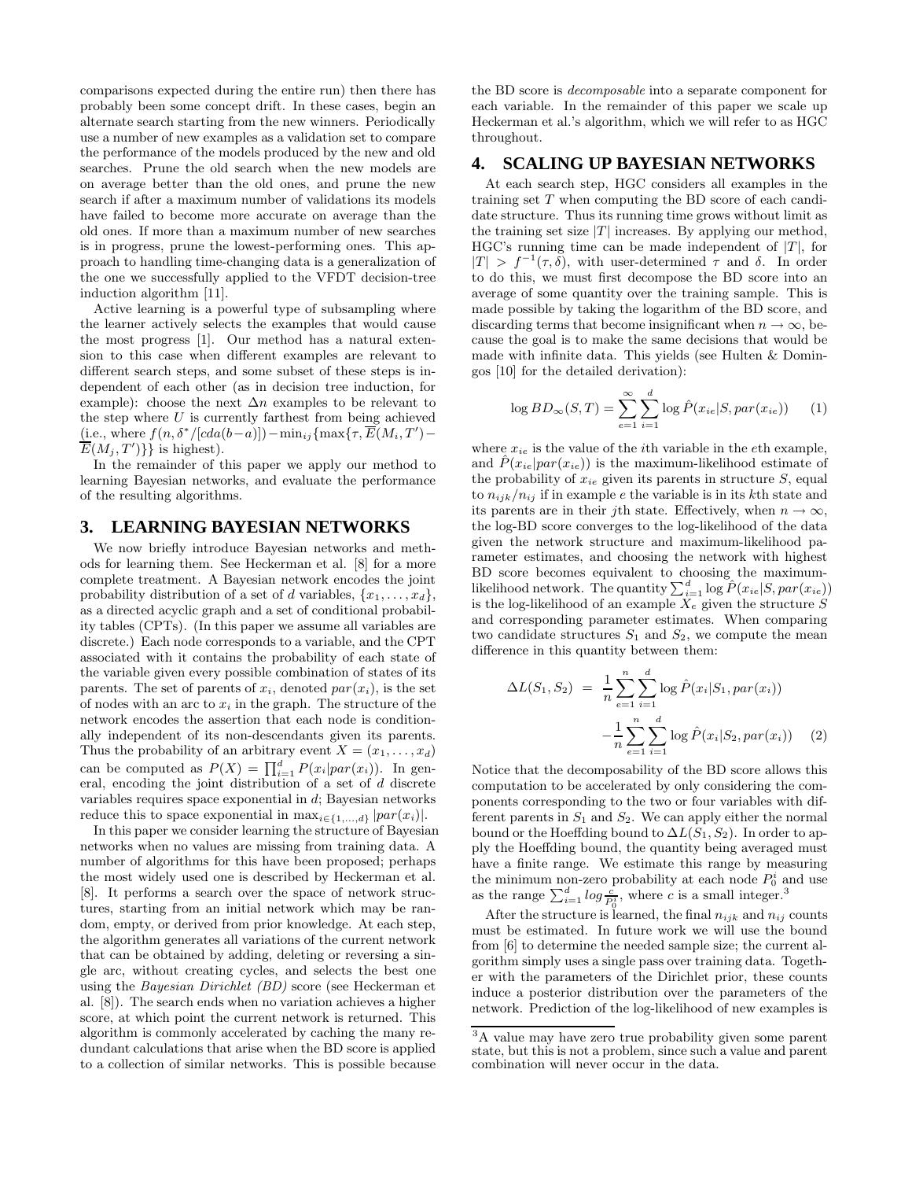comparisons expected during the entire run) then there has probably been some concept drift. In these cases, begin an alternate search starting from the new winners. Periodically use a number of new examples as a validation set to compare the performance of the models produced by the new and old searches. Prune the old search when the new models are on average better than the old ones, and prune the new search if after a maximum number of validations its models have failed to become more accurate on average than the old ones. If more than a maximum number of new searches is in progress, prune the lowest-performing ones. This approach to handling time-changing data is a generalization of the one we successfully applied to the VFDT decision-tree induction algorithm [11].

Active learning is a powerful type of subsampling where the learner actively selects the examples that would cause the most progress [1]. Our method has a natural extension to this case when different examples are relevant to different search steps, and some subset of these steps is independent of each other (as in decision tree induction, for example): choose the next  $\Delta n$  examples to be relevant to the step where  $U$  is currently farthest from being achieved (i.e., where  $f(n, \delta^*/[cda(b-a)]) - \min_{ij} \{\max\{\tau, \overline{E}(M_i, T') E(M_j, T')\}$  is highest).

In the remainder of this paper we apply our method to learning Bayesian networks, and evaluate the performance of the resulting algorithms.

## **3. LEARNING BAYESIAN NETWORKS**

We now briefly introduce Bayesian networks and methods for learning them. See Heckerman et al. [8] for a more complete treatment. A Bayesian network encodes the joint probability distribution of a set of d variables,  $\{x_1, \ldots, x_d\}$ , as a directed acyclic graph and a set of conditional probability tables (CPTs). (In this paper we assume all variables are discrete.) Each node corresponds to a variable, and the CPT associated with it contains the probability of each state of the variable given every possible combination of states of its parents. The set of parents of  $x_i$ , denoted  $par(x_i)$ , is the set of nodes with an arc to  $x_i$  in the graph. The structure of the network encodes the assertion that each node is conditionally independent of its non-descendants given its parents. Thus the probability of an arbitrary event  $X = (x_1, \ldots, x_d)$ can be computed as  $P(X) = \prod_{i=1}^{d} P(x_i|par(x_i))$ . In general, encoding the joint distribution of a set of d discrete variables requires space exponential in d; Bayesian networks reduce this to space exponential in  $\max_{i \in \{1,...,d\}} |par(x_i)|$ .

In this paper we consider learning the structure of Bayesian networks when no values are missing from training data. A number of algorithms for this have been proposed; perhaps the most widely used one is described by Heckerman et al. [8]. It performs a search over the space of network structures, starting from an initial network which may be random, empty, or derived from prior knowledge. At each step, the algorithm generates all variations of the current network that can be obtained by adding, deleting or reversing a single arc, without creating cycles, and selects the best one using the Bayesian Dirichlet (BD) score (see Heckerman et al. [8]). The search ends when no variation achieves a higher score, at which point the current network is returned. This algorithm is commonly accelerated by caching the many redundant calculations that arise when the BD score is applied to a collection of similar networks. This is possible because

the BD score is decomposable into a separate component for each variable. In the remainder of this paper we scale up Heckerman et al.'s algorithm, which we will refer to as HGC throughout.

### **4. SCALING UP BAYESIAN NETWORKS**

At each search step, HGC considers all examples in the training set T when computing the BD score of each candidate structure. Thus its running time grows without limit as the training set size  $|T|$  increases. By applying our method, HGC's running time can be made independent of  $|T|$ , for  $|T| > f^{-1}(\tau, \delta)$ , with user-determined  $\tau$  and  $\delta$ . In order to do this, we must first decompose the BD score into an average of some quantity over the training sample. This is made possible by taking the logarithm of the BD score, and discarding terms that become insignificant when  $n \to \infty$ , because the goal is to make the same decisions that would be made with infinite data. This yields (see Hulten & Domingos [10] for the detailed derivation):

$$
\log BD_{\infty}(S,T) = \sum_{e=1}^{\infty} \sum_{i=1}^{d} \log \hat{P}(x_{ie}|S, par(x_{ie})) \qquad (1)
$$

where  $x_{ie}$  is the value of the *i*th variable in the *eth* example, and  $\hat{P}(x_{ie}|par(x_{ie}))$  is the maximum-likelihood estimate of the probability of  $x_{ie}$  given its parents in structure  $S$ , equal to  $n_{ijk}/n_{ij}$  if in example e the variable is in its kth state and its parents are in their jth state. Effectively, when  $n \to \infty$ , the log-BD score converges to the log-likelihood of the data given the network structure and maximum-likelihood parameter estimates, and choosing the network with highest BD score becomes equivalent to choosing the maximumlikelihood network. The quantity  $\sum_{i=1}^{d} \log \tilde{P}(x_{ie}|S, par(x_{ie}))$ is the log-likelihood of an example  $X_e$  given the structure S and corresponding parameter estimates. When comparing two candidate structures  $S_1$  and  $S_2$ , we compute the mean difference in this quantity between them:

$$
\Delta L(S_1, S_2) = \frac{1}{n} \sum_{e=1}^n \sum_{i=1}^d \log \hat{P}(x_i | S_1, par(x_i)) -\frac{1}{n} \sum_{e=1}^n \sum_{i=1}^d \log \hat{P}(x_i | S_2, par(x_i)) \quad (2)
$$

Notice that the decomposability of the BD score allows this computation to be accelerated by only considering the components corresponding to the two or four variables with different parents in  $S_1$  and  $S_2$ . We can apply either the normal bound or the Hoeffding bound to  $\Delta L(S_1, S_2)$ . In order to apply the Hoeffding bound, the quantity being averaged must have a finite range. We estimate this range by measuring the minimum non-zero probability at each node  $P_0^i$  and use as the range  $\sum_{i=1}^{d} \log \frac{c}{P_0^i}$ , where c is a small integer.<sup>3</sup>

After the structure is learned, the final  $n_{ijk}$  and  $n_{ij}$  counts must be estimated. In future work we will use the bound from [6] to determine the needed sample size; the current algorithm simply uses a single pass over training data. Together with the parameters of the Dirichlet prior, these counts induce a posterior distribution over the parameters of the network. Prediction of the log-likelihood of new examples is

<sup>3</sup>A value may have zero true probability given some parent state, but this is not a problem, since such a value and parent combination will never occur in the data.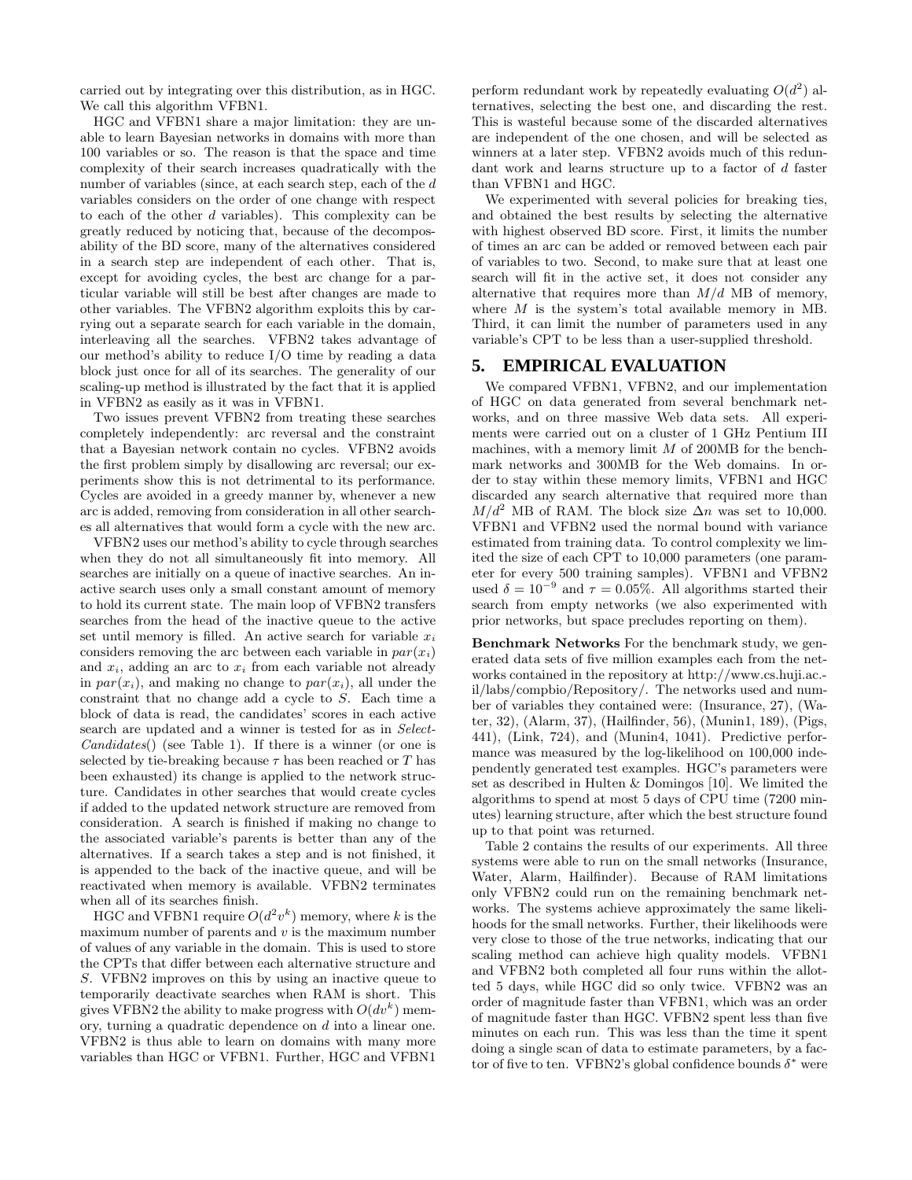carried out by integrating over this distribution, as in HGC. We call this algorithm VFBN1.

HGC and VFBN1 share a major limitation: they are unable to learn Bayesian networks in domains with more than 100 variables or so. The reason is that the space and time complexity of their search increases quadratically with the number of variables (since, at each search step, each of the d variables considers on the order of one change with respect to each of the other  $d$  variables). This complexity can be greatly reduced by noticing that, because of the decomposability of the BD score, many of the alternatives considered in a search step are independent of each other. That is, except for avoiding cycles, the best arc change for a particular variable will still be best after changes are made to other variables. The VFBN2 algorithm exploits this by carrying out a separate search for each variable in the domain, interleaving all the searches. VFBN2 takes advantage of our method's ability to reduce I/O time by reading a data block just once for all of its searches. The generality of our scaling-up method is illustrated by the fact that it is applied in VFBN2 as easily as it was in VFBN1.

Two issues prevent VFBN2 from treating these searches completely independently: arc reversal and the constraint that a Bayesian network contain no cycles. VFBN2 avoids the first problem simply by disallowing arc reversal; our experiments show this is not detrimental to its performance. Cycles are avoided in a greedy manner by, whenever a new arc is added, removing from consideration in all other searches all alternatives that would form a cycle with the new arc.

VFBN2 uses our method's ability to cycle through searches when they do not all simultaneously fit into memory. All searches are initially on a queue of inactive searches. An inactive search uses only a small constant amount of memory to hold its current state. The main loop of VFBN2 transfers searches from the head of the inactive queue to the active set until memory is filled. An active search for variable  $x_i$ considers removing the arc between each variable in  $par(x<sub>i</sub>)$ and  $x_i$ , adding an arc to  $x_i$  from each variable not already in  $par(x_i)$ , and making no change to  $par(x_i)$ , all under the constraint that no change add a cycle to S. Each time a block of data is read, the candidates' scores in each active search are updated and a winner is tested for as in Select-Candidates() (see Table 1). If there is a winner (or one is selected by tie-breaking because  $\tau$  has been reached or  $T$  has been exhausted) its change is applied to the network structure. Candidates in other searches that would create cycles if added to the updated network structure are removed from consideration. A search is finished if making no change to the associated variable's parents is better than any of the alternatives. If a search takes a step and is not finished, it is appended to the back of the inactive queue, and will be reactivated when memory is available. VFBN2 terminates when all of its searches finish.

HGC and VFBN1 require  $O(d^2v^k)$  memory, where k is the maximum number of parents and  $v$  is the maximum number of values of any variable in the domain. This is used to store the CPTs that differ between each alternative structure and S. VFBN2 improves on this by using an inactive queue to temporarily deactivate searches when RAM is short. This gives VFBN2 the ability to make progress with  $O(dv^k)$  memory, turning a quadratic dependence on d into a linear one. VFBN2 is thus able to learn on domains with many more variables than HGC or VFBN1. Further, HGC and VFBN1

perform redundant work by repeatedly evaluating  $O(d^2)$  alternatives, selecting the best one, and discarding the rest. This is wasteful because some of the discarded alternatives are independent of the one chosen, and will be selected as winners at a later step. VFBN2 avoids much of this redundant work and learns structure up to a factor of d faster than VFBN1 and HGC.

We experimented with several policies for breaking ties, and obtained the best results by selecting the alternative with highest observed BD score. First, it limits the number of times an arc can be added or removed between each pair of variables to two. Second, to make sure that at least one search will fit in the active set, it does not consider any alternative that requires more than  $M/d$  MB of memory, where  $M$  is the system's total available memory in MB. Third, it can limit the number of parameters used in any variable's CPT to be less than a user-supplied threshold.

# **5. EMPIRICAL EVALUATION**

We compared VFBN1, VFBN2, and our implementation of HGC on data generated from several benchmark networks, and on three massive Web data sets. All experiments were carried out on a cluster of 1 GHz Pentium III machines, with a memory limit  $M$  of 200MB for the benchmark networks and 300MB for the Web domains. In order to stay within these memory limits, VFBN1 and HGC discarded any search alternative that required more than  $M/d^2$  MB of RAM. The block size  $\Delta n$  was set to 10,000. VFBN1 and VFBN2 used the normal bound with variance estimated from training data. To control complexity we limited the size of each CPT to 10,000 parameters (one parameter for every 500 training samples). VFBN1 and VFBN2 used  $\delta = 10^{-9}$  and  $\tau = 0.05\%$ . All algorithms started their search from empty networks (we also experimented with prior networks, but space precludes reporting on them).

Benchmark Networks For the benchmark study, we generated data sets of five million examples each from the networks contained in the repository at http://www.cs.huji.ac. il/labs/compbio/Repository/. The networks used and number of variables they contained were: (Insurance, 27), (Water, 32), (Alarm, 37), (Hailfinder, 56), (Munin1, 189), (Pigs, 441), (Link, 724), and (Munin4, 1041). Predictive performance was measured by the log-likelihood on 100,000 independently generated test examples. HGC's parameters were set as described in Hulten & Domingos [10]. We limited the algorithms to spend at most 5 days of CPU time (7200 minutes) learning structure, after which the best structure found up to that point was returned.

Table 2 contains the results of our experiments. All three systems were able to run on the small networks (Insurance, Water, Alarm, Hailfinder). Because of RAM limitations only VFBN2 could run on the remaining benchmark networks. The systems achieve approximately the same likelihoods for the small networks. Further, their likelihoods were very close to those of the true networks, indicating that our scaling method can achieve high quality models. VFBN1 and VFBN2 both completed all four runs within the allotted 5 days, while HGC did so only twice. VFBN2 was an order of magnitude faster than VFBN1, which was an order of magnitude faster than HGC. VFBN2 spent less than five minutes on each run. This was less than the time it spent doing a single scan of data to estimate parameters, by a factor of five to ten. VFBN2's global confidence bounds  $\delta^*$  were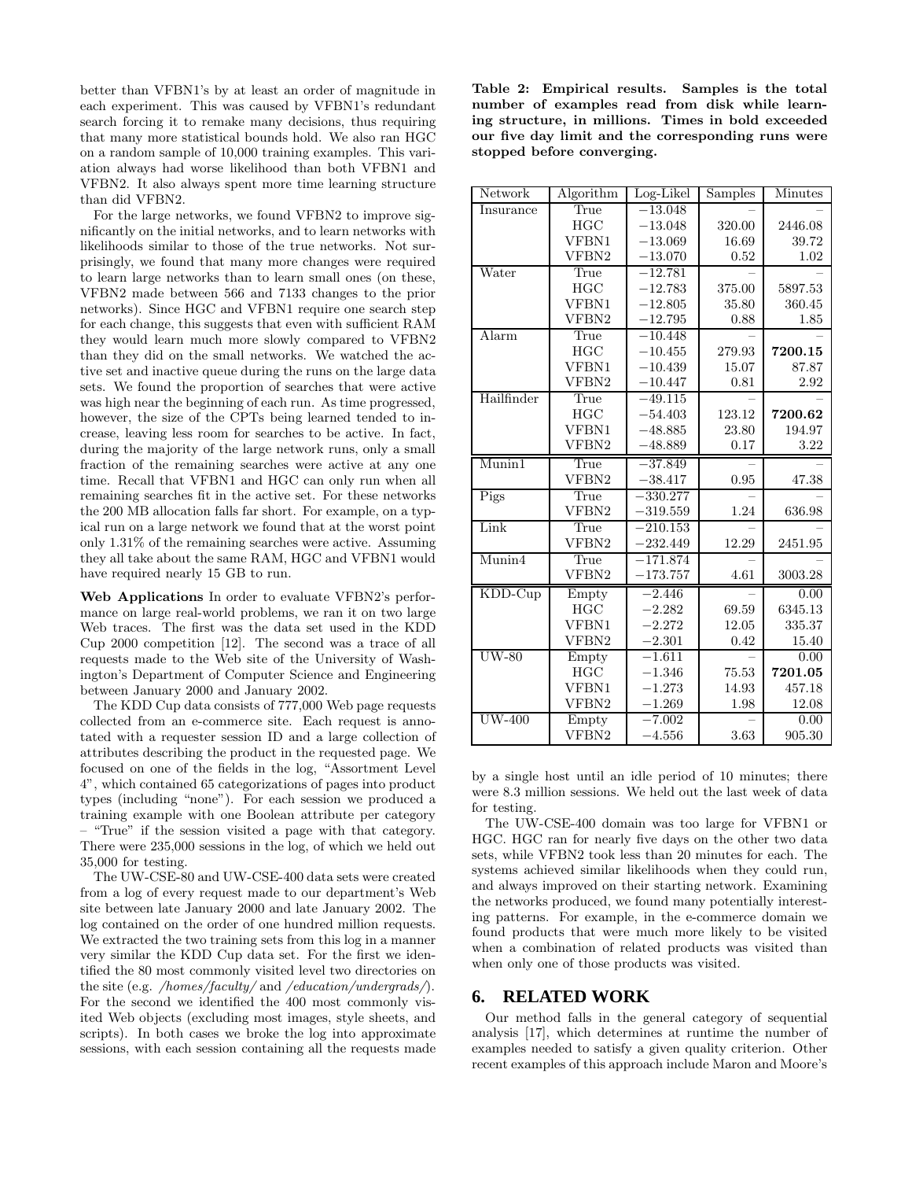better than VFBN1's by at least an order of magnitude in each experiment. This was caused by VFBN1's redundant search forcing it to remake many decisions, thus requiring that many more statistical bounds hold. We also ran HGC on a random sample of 10,000 training examples. This variation always had worse likelihood than both VFBN1 and VFBN2. It also always spent more time learning structure than did VFBN2.

For the large networks, we found VFBN2 to improve significantly on the initial networks, and to learn networks with likelihoods similar to those of the true networks. Not surprisingly, we found that many more changes were required to learn large networks than to learn small ones (on these, VFBN2 made between 566 and 7133 changes to the prior networks). Since HGC and VFBN1 require one search step for each change, this suggests that even with sufficient RAM they would learn much more slowly compared to VFBN2 than they did on the small networks. We watched the active set and inactive queue during the runs on the large data sets. We found the proportion of searches that were active was high near the beginning of each run. As time progressed, however, the size of the CPTs being learned tended to increase, leaving less room for searches to be active. In fact, during the majority of the large network runs, only a small fraction of the remaining searches were active at any one time. Recall that VFBN1 and HGC can only run when all remaining searches fit in the active set. For these networks the 200 MB allocation falls far short. For example, on a typical run on a large network we found that at the worst point only 1.31% of the remaining searches were active. Assuming they all take about the same RAM, HGC and VFBN1 would have required nearly 15 GB to run.

Web Applications In order to evaluate VFBN2's performance on large real-world problems, we ran it on two large Web traces. The first was the data set used in the KDD Cup 2000 competition [12]. The second was a trace of all requests made to the Web site of the University of Washington's Department of Computer Science and Engineering between January 2000 and January 2002.

The KDD Cup data consists of 777,000 Web page requests collected from an e-commerce site. Each request is annotated with a requester session ID and a large collection of attributes describing the product in the requested page. We focused on one of the fields in the log, "Assortment Level 4", which contained 65 categorizations of pages into product types (including "none"). For each session we produced a training example with one Boolean attribute per category – "True" if the session visited a page with that category. There were 235,000 sessions in the log, of which we held out 35,000 for testing.

The UW-CSE-80 and UW-CSE-400 data sets were created from a log of every request made to our department's Web site between late January 2000 and late January 2002. The log contained on the order of one hundred million requests. We extracted the two training sets from this log in a manner very similar the KDD Cup data set. For the first we identified the 80 most commonly visited level two directories on the site (e.g. /homes/faculty/ and /education/undergrads/). For the second we identified the 400 most commonly visited Web objects (excluding most images, style sheets, and scripts). In both cases we broke the log into approximate sessions, with each session containing all the requests made

Table 2: Empirical results. Samples is the total number of examples read from disk while learning structure, in millions. Times in bold exceeded our five day limit and the corresponding runs were stopped before converging.

| Network       | Algorithm | Log-Likel  | Samples | Minutes |
|---------------|-----------|------------|---------|---------|
| Insurance     | True      | $-13.048$  |         |         |
|               | HGC       | $-13.048$  | 320.00  | 2446.08 |
|               | VFBN1     | $-13.069$  | 16.69   | 39.72   |
|               | VFBN2     | $-13.070$  | 0.52    | 1.02    |
| Water         | True      | $-12.781$  |         |         |
|               | HGC       | $-12.783$  | 375.00  | 5897.53 |
|               | VFBN1     | $-12.805$  | 35.80   | 360.45  |
|               | VFBN2     | $-12.795$  | 0.88    | 1.85    |
| Alarm         | True      | $-10.448$  |         |         |
|               | HGC       | $-10.455$  | 279.93  | 7200.15 |
|               | VFBN1     | $-10.439$  | 15.07   | 87.87   |
|               | VFBN2     | $-10.447$  | 0.81    | 2.92    |
| Hailfinder    | True      | $-49.115$  |         |         |
|               | HGC       | $-54.403$  | 123.12  | 7200.62 |
|               | VFBN1     | $-48.885$  | 23.80   | 194.97  |
|               | VFBN2     | $-48.889$  | 0.17    | 3.22    |
| Munin1        | True      | $-37.849$  |         |         |
|               | VFBN2     | $-38.417$  | 0.95    | 47.38   |
| Pigs          | True      | $-330.277$ |         |         |
|               | VFBN2     | $-319.559$ | 1.24    | 636.98  |
| Link          | True      | $-210.153$ |         |         |
|               | VFBN2     | $-232.449$ | 12.29   | 2451.95 |
| Munin4        | True      | $-171.874$ |         |         |
|               | VFBN2     | $-173.757$ | 4.61    | 3003.28 |
| KDD-Cup       | Empty     | $-2.446$   |         | 0.00    |
|               | HGC       | $-2.282$   | 69.59   | 6345.13 |
|               | VFBN1     | $-2.272$   | 12.05   | 335.37  |
|               | VFBN2     | $-2.301$   | 0.42    | 15.40   |
| $UW-80$       | Empty     | $-1.611$   |         | 0.00    |
|               | HGC       | $-1.346$   | 75.53   | 7201.05 |
|               | VFBN1     | $-1.273$   | 14.93   | 457.18  |
|               | VFBN2     | $-1.269$   | 1.98    | 12.08   |
| <b>UW-400</b> | Empty     | $-7.002$   |         | 0.00    |
|               | VFBN2     | $-4.556$   | 3.63    | 905.30  |

by a single host until an idle period of 10 minutes; there were 8.3 million sessions. We held out the last week of data for testing.

The UW-CSE-400 domain was too large for VFBN1 or HGC. HGC ran for nearly five days on the other two data sets, while VFBN2 took less than 20 minutes for each. The systems achieved similar likelihoods when they could run, and always improved on their starting network. Examining the networks produced, we found many potentially interesting patterns. For example, in the e-commerce domain we found products that were much more likely to be visited when a combination of related products was visited than when only one of those products was visited.

# **6. RELATED WORK**

Our method falls in the general category of sequential analysis [17], which determines at runtime the number of examples needed to satisfy a given quality criterion. Other recent examples of this approach include Maron and Moore's